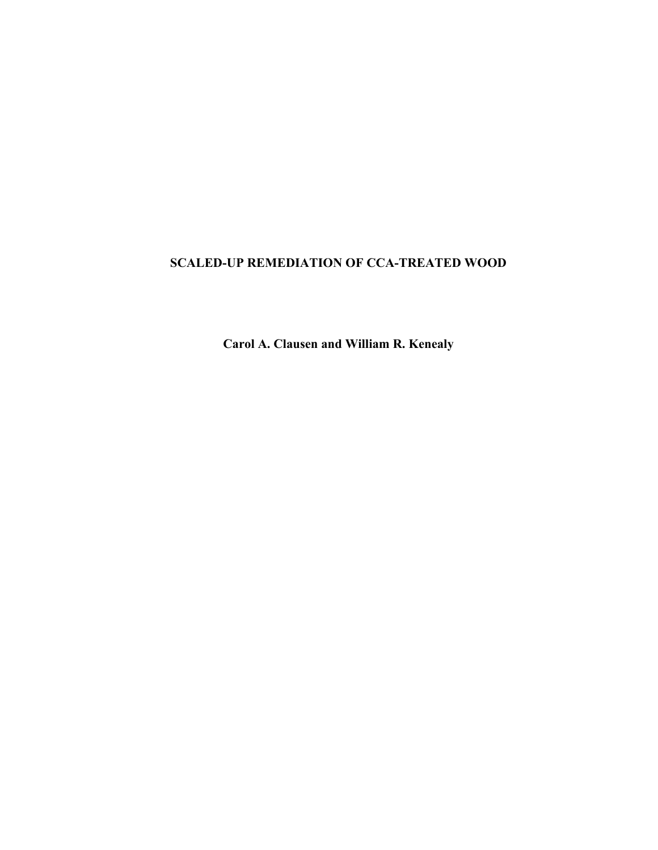# **SCALED-UP REMEDIATION OF CCA-TREATED WOOD**

**Carol A. Clausen and William R. Kenealy**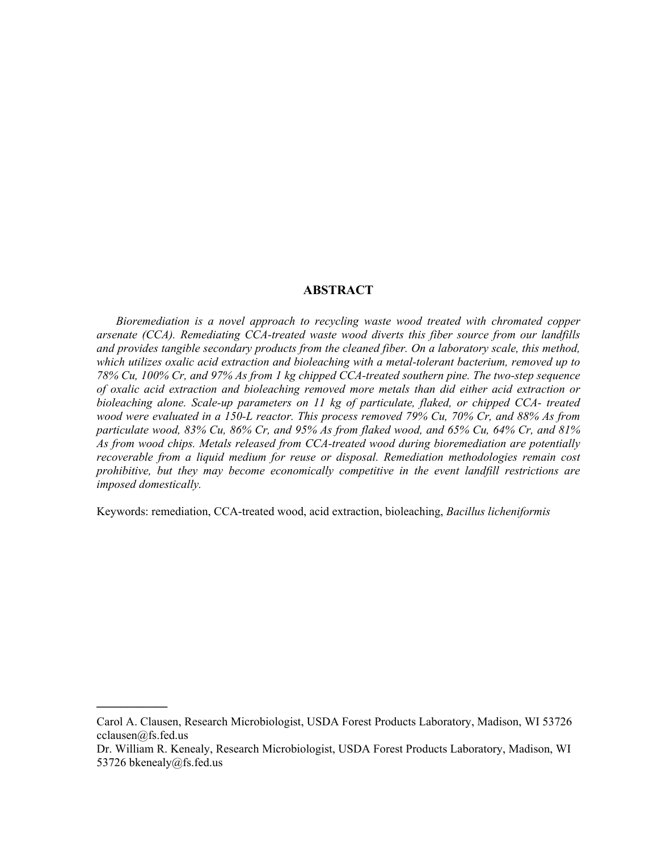#### **ABSTRACT**

*Bioremediation is a novel approach to recycling waste wood treated with chromated copper arsenate (CCA). Remediating CCA-treated waste wood diverts this fiber source from our landfills and provides tangible secondary products from the cleaned fiber. On a laboratory scale, this method, which utilizes oxalic acid extraction and bioleaching with a metal-tolerant bacterium, removed up to 78% Cu, 100% Cr, and 97% As from 1 kg chipped CCA-treated southern pine. The two-step sequence of oxalic acid extraction and bioleaching removed more metals than did either acid extraction or bioleaching alone. Scale-up parameters on 11 kg of particulate, flaked, or chipped CCA- treated wood were evaluated in a 150-L reactor. This process removed 79% Cu, 70% Cr, and 88% As from particulate wood, 83% Cu, 86% Cr, and 95% As from flaked wood, and 65% Cu, 64% Cr, and 81% As from wood chips. Metals released from CCA-treated wood during bioremediation are potentially recoverable from a liquid medium for reuse or disposal. Remediation methodologies remain cost prohibitive, but they may become economically competitive in the event landfill restrictions are imposed domestically.* 

Keywords: remediation, CCA-treated wood, acid extraction, bioleaching, *Bacillus licheniformis* 

 $\overline{\phantom{a}}$ 

Carol A. Clausen, Research Microbiologist, USDA Forest Products Laboratory, Madison, WI 53726 cclausen@fs.fed.us

Dr. William R. Kenealy, Research Microbiologist, USDA Forest Products Laboratory, Madison, WI 53726 bkenealy@fs.fed.us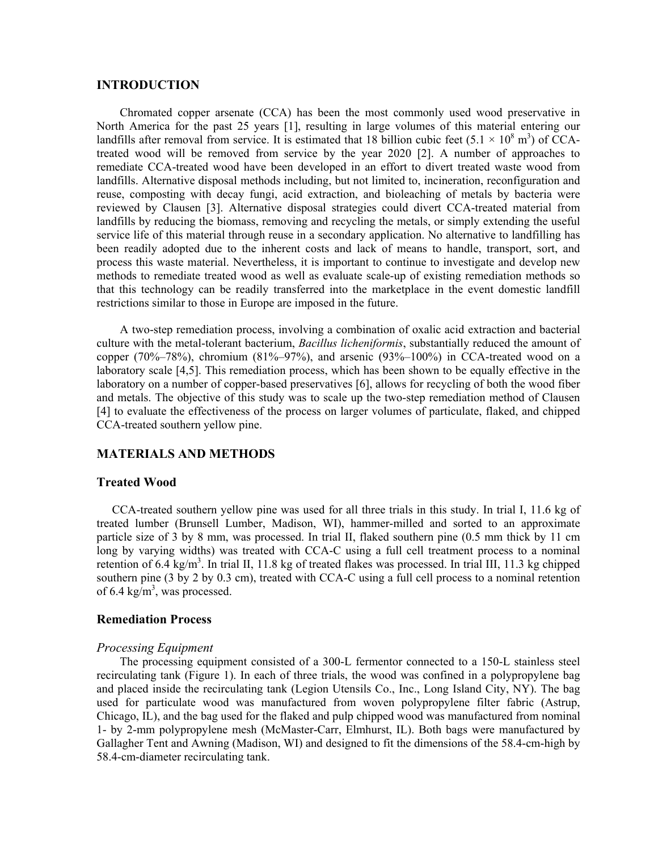#### **INTRODUCTION**

Chromated copper arsenate (CCA) has been the most commonly used wood preservative in North America for the past 25 years [1], resulting in large volumes of this material entering our landfills after removal from service. It is estimated that 18 billion cubic feet  $(5.1 \times 10^8 \text{ m}^3)$  of CCAtreated wood will be removed from service by the year 2020 [2]. A number of approaches to remediate CCA-treated wood have been developed in an effort to divert treated waste wood from landfills. Alternative disposal methods including, but not limited to, incineration, reconfiguration and reuse, composting with decay fungi, acid extraction, and bioleaching of metals by bacteria were reviewed by Clausen [3]. Alternative disposal strategies could divert CCA-treated material from landfills by reducing the biomass, removing and recycling the metals, or simply extending the useful service life of this material through reuse in a secondary application. No alternative to landfilling has been readily adopted due to the inherent costs and lack of means to handle, transport, sort, and process this waste material. Nevertheless, it is important to continue to investigate and develop new methods to remediate treated wood as well as evaluate scale-up of existing remediation methods so that this technology can be readily transferred into the marketplace in the event domestic landfill restrictions similar to those in Europe are imposed in the future.

A two-step remediation process, involving a combination of oxalic acid extraction and bacterial culture with the metal-tolerant bacterium, *Bacillus licheniformis*, substantially reduced the amount of copper  $(70\%-78\%)$ , chromium  $(81\%-97\%)$ , and arsenic  $(93\%-100\%)$  in CCA-treated wood on a laboratory scale [4,5]. This remediation process, which has been shown to be equally effective in the laboratory on a number of copper-based preservatives [6], allows for recycling of both the wood fiber and metals. The objective of this study was to scale up the two-step remediation method of Clausen [4] to evaluate the effectiveness of the process on larger volumes of particulate, flaked, and chipped CCA-treated southern yellow pine.

#### **MATERIALS AND METHODS**

#### **Treated Wood**

CCA-treated southern yellow pine was used for all three trials in this study. In trial I, 11.6 kg of treated lumber (Brunsell Lumber, Madison, WI), hammer-milled and sorted to an approximate particle size of 3 by 8 mm, was processed. In trial II, flaked southern pine (0.5 mm thick by 11 cm long by varying widths) was treated with CCA-C using a full cell treatment process to a nominal retention of 6.4 kg/m<sup>3</sup>. In trial II, 11.8 kg of treated flakes was processed. In trial III, 11.3 kg chipped southern pine (3 by 2 by 0.3 cm), treated with CCA-C using a full cell process to a nominal retention of 6.4 kg/m<sup>3</sup>, was processed.

### **Remediation Process**

#### *Processing Equipment*

The processing equipment consisted of a 300-L fermentor connected to a 150-L stainless steel recirculating tank (Figure 1). In each of three trials, the wood was confined in a polypropylene bag and placed inside the recirculating tank (Legion Utensils Co., Inc., Long Island City, NY). The bag used for particulate wood was manufactured from woven polypropylene filter fabric (Astrup, Chicago, IL), and the bag used for the flaked and pulp chipped wood was manufactured from nominal 1- by 2-mm polypropylene mesh (McMaster-Carr, Elmhurst, IL). Both bags were manufactured by Gallagher Tent and Awning (Madison, WI) and designed to fit the dimensions of the 58.4-cm-high by 58.4-cm-diameter recirculating tank.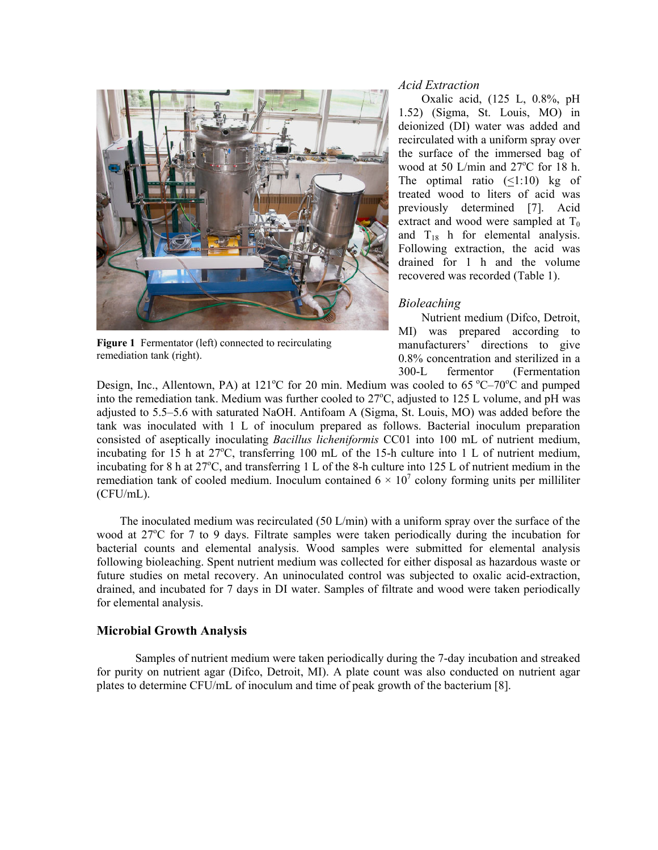

**Figure 1** Fermentator (left) connected to recirculating remediation tank (right).

#### *Acid Extraction*

Oxalic acid, (125 L, 0.8%, pH 1.52) (Sigma, St. Louis, MO) in deionized (DI) water was added and recirculated with a uniform spray over the surface of the immersed bag of wood at 50 L/min and  $27^{\circ}$ C for 18 h. The optimal ratio  $(\le 1:10)$  kg of treated wood to liters of acid was previously determined [7]. Acid extract and wood were sampled at  $T_0$ and  $T_{18}$  h for elemental analysis. Following extraction, the acid was drained for 1 h and the volume recovered was recorded (Table 1).

### *Bioleaching*

Nutrient medium (Difco, Detroit, MI) was prepared according to manufacturers' directions to give 0.8% concentration and sterilized in a 300-L fermentor (Fermentation

Design, Inc., Allentown, PA) at  $121^{\circ}$ C for 20 min. Medium was cooled to 65  $^{\circ}$ C-70 $^{\circ}$ C and pumped into the remediation tank. Medium was further cooled to  $27^{\circ}$ C, adjusted to 125 L volume, and pH was adjusted to 5.5–5.6 with saturated NaOH. Antifoam A (Sigma, St. Louis, MO) was added before the tank was inoculated with 1 L of inoculum prepared as follows. Bacterial inoculum preparation consisted of aseptically inoculating *Bacillus licheniformis* CC01 into 100 mL of nutrient medium, incubating for  $15$  h at  $27^{\circ}$ C, transferring 100 mL of the 15-h culture into 1 L of nutrient medium, incubating for 8 h at  $27^{\circ}$ C, and transferring 1 L of the 8-h culture into 125 L of nutrient medium in the remediation tank of cooled medium. Inoculum contained  $6 \times 10^7$  colony forming units per milliliter (CFU/mL).

The inoculated medium was recirculated (50 L/min) with a uniform spray over the surface of the wood at 27<sup>o</sup>C for 7 to 9 days. Filtrate samples were taken periodically during the incubation for bacterial counts and elemental analysis. Wood samples were submitted for elemental analysis following bioleaching. Spent nutrient medium was collected for either disposal as hazardous waste or future studies on metal recovery. An uninoculated control was subjected to oxalic acid-extraction, drained, and incubated for 7 days in DI water. Samples of filtrate and wood were taken periodically for elemental analysis.

#### **Microbial Growth Analysis**

Samples of nutrient medium were taken periodically during the 7-day incubation and streaked for purity on nutrient agar (Difco, Detroit, MI). A plate count was also conducted on nutrient agar plates to determine CFU/mL of inoculum and time of peak growth of the bacterium [8].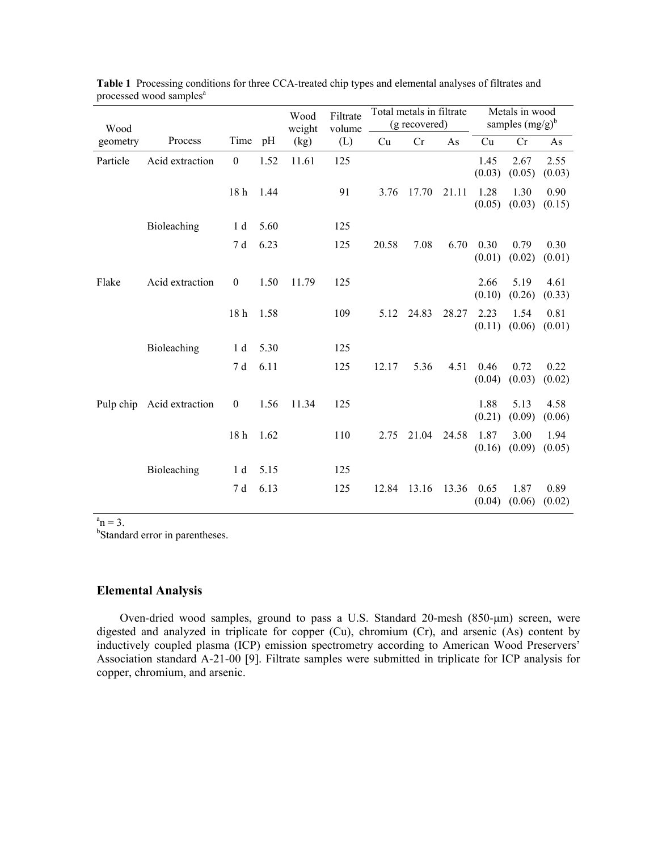| Wood     |                           |                  |      | Wood<br>weight | Filtrate<br>volume | Total metals in filtrate<br>(g recovered) |       | Metals in wood<br>samples $(mg/g)^b$ |                |                |                |
|----------|---------------------------|------------------|------|----------------|--------------------|-------------------------------------------|-------|--------------------------------------|----------------|----------------|----------------|
| geometry | Process                   | Time pH          |      | (kg)           | (L)                | Cu                                        | Cr    | As                                   | Cu             | Cr             | As             |
| Particle | Acid extraction           | $\boldsymbol{0}$ | 1.52 | 11.61          | 125                |                                           |       |                                      | 1.45<br>(0.03) | 2.67<br>(0.05) | 2.55<br>(0.03) |
|          |                           | 18 h 1.44        |      |                | 91                 | 3.76                                      | 17.70 | 21.11                                | 1.28<br>(0.05) | 1.30<br>(0.03) | 0.90<br>(0.15) |
|          | Bioleaching               | 1 <sub>d</sub>   | 5.60 |                | 125                |                                           |       |                                      |                |                |                |
|          |                           | 7 d              | 6.23 |                | 125                | 20.58                                     | 7.08  | 6.70                                 | 0.30<br>(0.01) | 0.79<br>(0.02) | 0.30<br>(0.01) |
| Flake    | Acid extraction           | $\boldsymbol{0}$ | 1.50 | 11.79          | 125                |                                           |       |                                      | 2.66<br>(0.10) | 5.19<br>(0.26) | 4.61<br>(0.33) |
|          |                           | 18 <sub>h</sub>  | 1.58 |                | 109                | 5.12                                      | 24.83 | 28.27                                | 2.23<br>(0.11) | 1.54<br>(0.06) | 0.81<br>(0.01) |
|          | Bioleaching               | 1 d              | 5.30 |                | 125                |                                           |       |                                      |                |                |                |
|          |                           | 7 d              | 6.11 |                | 125                | 12.17                                     | 5.36  | 4.51                                 | 0.46<br>(0.04) | 0.72<br>(0.03) | 0.22<br>(0.02) |
|          | Pulp chip Acid extraction | $\boldsymbol{0}$ | 1.56 | 11.34          | 125                |                                           |       |                                      | 1.88<br>(0.21) | 5.13<br>(0.09) | 4.58<br>(0.06) |
|          |                           | 18 h 1.62        |      |                | 110                | 2.75                                      | 21.04 | 24.58                                | 1.87<br>(0.16) | 3.00<br>(0.09) | 1.94<br>(0.05) |
|          | Bioleaching               | 1 d              | 5.15 |                | 125                |                                           |       |                                      |                |                |                |
|          |                           | 7 d              | 6.13 |                | 125                | 12.84                                     | 13.16 | 13.36                                | 0.65<br>(0.04) | 1.87<br>(0.06) | 0.89<br>(0.02) |

| <b>Table 1</b> Processing conditions for three CCA-treated chip types and elemental analyses of filtrates and |  |
|---------------------------------------------------------------------------------------------------------------|--|
| processed wood samples <sup>a</sup>                                                                           |  |

 ${}^{a}n = 3$ .

<sup>b</sup>Standard error in parentheses.

### **Elemental Analysis**

Oven-dried wood samples, ground to pass a U.S. Standard 20-mesh (850-µm) screen, were digested and analyzed in triplicate for copper (Cu), chromium (Cr), and arsenic (As) content by inductively coupled plasma (ICP) emission spectrometry according to American Wood Preservers<sup>7</sup> Association standard A-21-00 [9]. Filtrate samples were submitted in triplicate for ICP analysis for copper, chromium, and arsenic.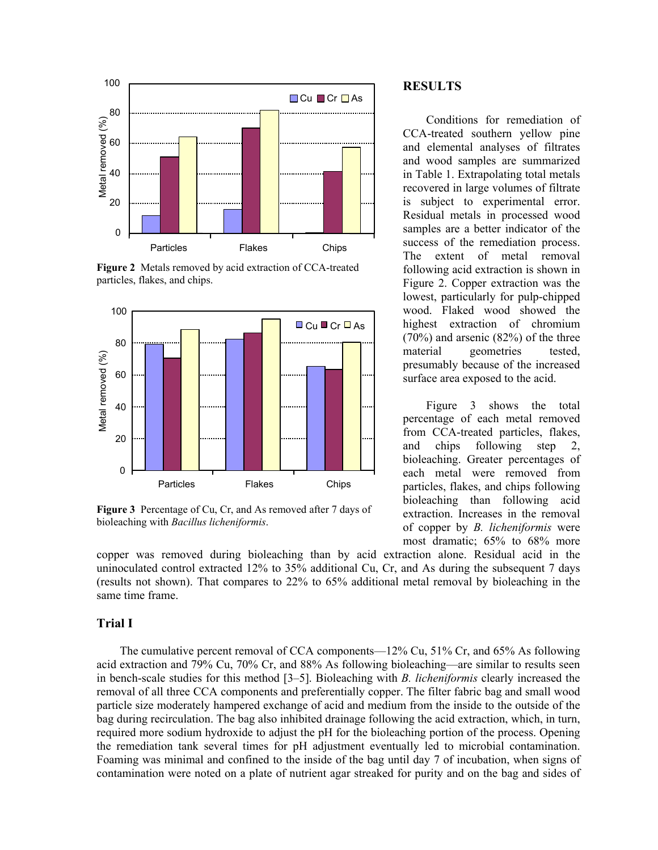

**Figure 2** Metals removed by acid extraction of CCA-treated particles, flakes, and chips.



**Figure 3** Percentage of Cu, Cr, and As removed after 7 days of bioleaching with *Bacillus licheniformis*.

copper was removed during bioleaching than by acid extraction alone. Residual acid in the uninoculated control extracted 12% to 35% additional Cu, Cr, and As during the subsequent 7 days (results not shown). That compares to 22% to 65% additional metal removal by bioleaching in the same time frame.

#### **Trial I**

The cumulative percent removal of CCA components— $12\%$  Cu,  $51\%$  Cr, and 65% As following acid extraction and 79% Cu, 70% Cr, and 88% As following bioleaching—are similar to results seen in bench-scale studies for this method [3–5]. Bioleaching with *B. licheniformis* clearly increased the removal of all three CCA components and preferentially copper. The filter fabric bag and small wood particle size moderately hampered exchange of acid and medium from the inside to the outside of the bag during recirculation. The bag also inhibited drainage following the acid extraction, which, in turn, required more sodium hydroxide to adjust the pH for the bioleaching portion of the process. Opening the remediation tank several times for pH adjustment eventually led to microbial contamination. Foaming was minimal and confined to the inside of the bag until day 7 of incubation, when signs of contamination were noted on a plate of nutrient agar streaked for purity and on the bag and sides of

### **RESULTS**

Conditions for remediation of CCA-treated southern yellow pine and elemental analyses of filtrates and wood samples are summarized in Table 1. Extrapolating total metals recovered in large volumes of filtrate is subject to experimental error. Residual metals in processed wood samples are a better indicator of the success of the remediation process. The extent of metal removal following acid extraction is shown in Figure 2. Copper extraction was the lowest, particularly for pulp-chipped wood. Flaked wood showed the highest extraction of chromium (70%) and arsenic (82%) of the three material geometries tested, presumably because of the increased surface area exposed to the acid.

Figure 3 shows the total percentage of each metal removed from CCA-treated particles, flakes, and chips following step 2, bioleaching. Greater percentages of each metal were removed from particles, flakes, and chips following bioleaching than following acid extraction. Increases in the removal of copper by *B. licheniformis* were most dramatic; 65% to 68% more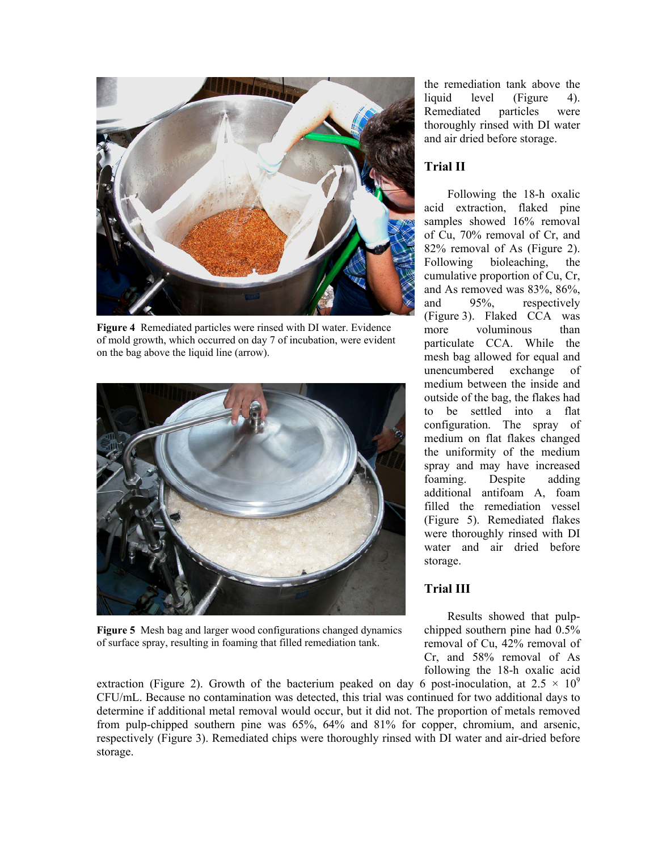

**Figure 4** Remediated particles were rinsed with DI water. Evidence of mold growth, which occurred on day 7 of incubation, were evident on the bag above the liquid line (arrow).



**Figure 5** Mesh bag and larger wood configurations changed dynamics of surface spray, resulting in foaming that filled remediation tank.

the remediation tank above the liquid level (Figure 4). Remediated particles were thoroughly rinsed with DI water and air dried before storage.

# **Trial II**

Following the 18-h oxalic acid extraction, flaked pine samples showed 16% removal of Cu, 70% removal of Cr, and 82% removal of As (Figure 2). Following bioleaching, the cumulative proportion of Cu, Cr, and As removed was 83%, 86%, and 95%, respectively (Figure 3). Flaked CCA was more voluminous than particulate CCA. While the mesh bag allowed for equal and unencumbered exchange of medium between the inside and outside of the bag, the flakes had to be settled into a flat configuration. The spray of medium on flat flakes changed the uniformity of the medium spray and may have increased foaming. Despite adding additional antifoam A, foam filled the remediation vessel (Figure 5). Remediated flakes were thoroughly rinsed with DI water and air dried before storage.

# **Trial III**

Results showed that pulpchipped southern pine had 0.5% removal of Cu, 42% removal of Cr, and 58% removal of As following the 18-h oxalic acid

extraction (Figure 2). Growth of the bacterium peaked on day 6 post-inoculation, at  $2.5 \times 10^9$ CFU/mL. Because no contamination was detected, this trial was continued for two additional days to determine if additional metal removal would occur, but it did not. The proportion of metals removed from pulp-chipped southern pine was 65%, 64% and 81% for copper, chromium, and arsenic, respectively (Figure 3). Remediated chips were thoroughly rinsed with DI water and air-dried before storage.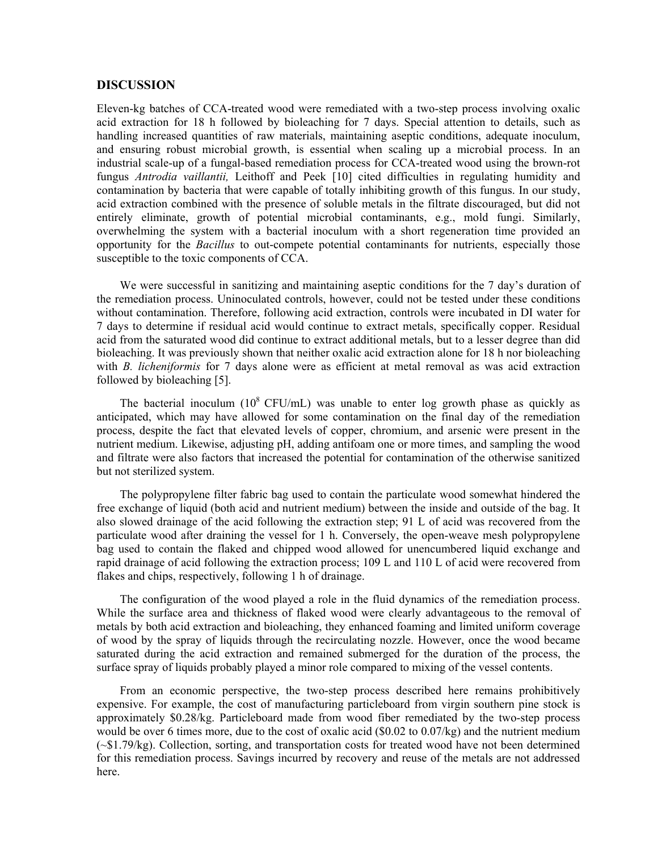#### **DISCUSSION**

Eleven-kg batches of CCA-treated wood were remediated with a two-step process involving oxalic acid extraction for 18 h followed by bioleaching for 7 days. Special attention to details, such as handling increased quantities of raw materials, maintaining aseptic conditions, adequate inoculum, and ensuring robust microbial growth, is essential when scaling up a microbial process. In an industrial scale-up of a fungal-based remediation process for CCA-treated wood using the brown-rot fungus *Antrodia vaillantii,* Leithoff and Peek [10] cited difficulties in regulating humidity and contamination by bacteria that were capable of totally inhibiting growth of this fungus. In our study, acid extraction combined with the presence of soluble metals in the filtrate discouraged, but did not entirely eliminate, growth of potential microbial contaminants, e.g., mold fungi. Similarly, overwhelming the system with a bacterial inoculum with a short regeneration time provided an opportunity for the *Bacillus* to out-compete potential contaminants for nutrients, especially those susceptible to the toxic components of CCA.

We were successful in sanitizing and maintaining aseptic conditions for the 7 day's duration of the remediation process. Uninoculated controls, however, could not be tested under these conditions without contamination. Therefore, following acid extraction, controls were incubated in DI water for 7 days to determine if residual acid would continue to extract metals, specifically copper. Residual acid from the saturated wood did continue to extract additional metals, but to a lesser degree than did bioleaching. It was previously shown that neither oxalic acid extraction alone for 18 h nor bioleaching with *B. licheniformis* for 7 days alone were as efficient at metal removal as was acid extraction followed by bioleaching [5].

The bacterial inoculum  $(10^8 \text{ CFU/mL})$  was unable to enter log growth phase as quickly as anticipated, which may have allowed for some contamination on the final day of the remediation process, despite the fact that elevated levels of copper, chromium, and arsenic were present in the nutrient medium. Likewise, adjusting pH, adding antifoam one or more times, and sampling the wood and filtrate were also factors that increased the potential for contamination of the otherwise sanitized but not sterilized system.

The polypropylene filter fabric bag used to contain the particulate wood somewhat hindered the free exchange of liquid (both acid and nutrient medium) between the inside and outside of the bag. It also slowed drainage of the acid following the extraction step; 91 L of acid was recovered from the particulate wood after draining the vessel for 1 h. Conversely, the open-weave mesh polypropylene bag used to contain the flaked and chipped wood allowed for unencumbered liquid exchange and rapid drainage of acid following the extraction process; 109 L and 110 L of acid were recovered from flakes and chips, respectively, following 1 h of drainage.

The configuration of the wood played a role in the fluid dynamics of the remediation process. While the surface area and thickness of flaked wood were clearly advantageous to the removal of metals by both acid extraction and bioleaching, they enhanced foaming and limited uniform coverage of wood by the spray of liquids through the recirculating nozzle. However, once the wood became saturated during the acid extraction and remained submerged for the duration of the process, the surface spray of liquids probably played a minor role compared to mixing of the vessel contents.

From an economic perspective, the two-step process described here remains prohibitively expensive. For example, the cost of manufacturing particleboard from virgin southern pine stock is approximately \$0.28/kg. Particleboard made from wood fiber remediated by the two-step process would be over 6 times more, due to the cost of oxalic acid (\$0.02 to 0.07/kg) and the nutrient medium (~\$1.79/kg). Collection, sorting, and transportation costs for treated wood have not been determined for this remediation process. Savings incurred by recovery and reuse of the metals are not addressed here.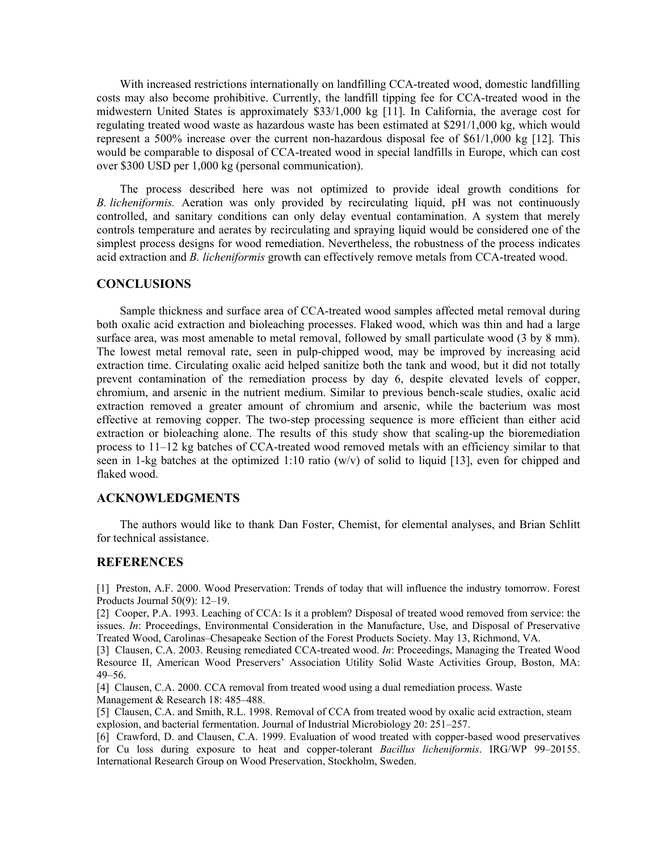With increased restrictions internationally on landfilling CCA-treated wood, domestic landfilling costs may also become prohibitive. Currently, the landfill tipping fee for CCA-treated wood in the midwestern United States is approximately \$33/1,000 kg [11]. In California, the average cost for regulating treated wood waste as hazardous waste has been estimated at \$291/1,000 kg, which would represent a 500% increase over the current non-hazardous disposal fee of \$61/1,000 kg [12]. This would be comparable to disposal of CCA-treated wood in special landfills in Europe, which can cost over \$300 USD per 1,000 kg (personal communication).

The process described here was not optimized to provide ideal growth conditions for *B. licheniformis.* Aeration was only provided by recirculating liquid, pH was not continuously controlled, and sanitary conditions can only delay eventual contamination. A system that merely controls temperature and aerates by recirculating and spraying liquid would be considered one of the simplest process designs for wood remediation. Nevertheless, the robustness of the process indicates acid extraction and *B. licheniformis* growth can effectively remove metals from CCA-treated wood.

#### **CONCLUSIONS**

Sample thickness and surface area of CCA-treated wood samples affected metal removal during both oxalic acid extraction and bioleaching processes. Flaked wood, which was thin and had a large surface area, was most amenable to metal removal, followed by small particulate wood (3 by 8 mm). The lowest metal removal rate, seen in pulp-chipped wood, may be improved by increasing acid extraction time. Circulating oxalic acid helped sanitize both the tank and wood, but it did not totally prevent contamination of the remediation process by day 6, despite elevated levels of copper, chromium, and arsenic in the nutrient medium. Similar to previous bench-scale studies, oxalic acid extraction removed a greater amount of chromium and arsenic, while the bacterium was most effective at removing copper. The two-step processing sequence is more efficient than either acid extraction or bioleaching alone. The results of this study show that scaling-up the bioremediation process to  $11-12$  kg batches of CCA-treated wood removed metals with an efficiency similar to that seen in 1-kg batches at the optimized 1:10 ratio (w/v) of solid to liquid [13], even for chipped and flaked wood.

## **ACKNOWLEDGMENTS**

The authors would like to thank Dan Foster, Chemist, for elemental analyses, and Brian Schlitt for technical assistance.

#### **REFERENCES**

[1] Preston, A.F. 2000. Wood Preservation: Trends of today that will influence the industry tomorrow. Forest Products Journal  $50(9)$ : 12–19.

[2] Cooper, P.A. 1993. Leaching of CCA: Is it a problem? Disposal of treated wood removed from service: the issues. *In*: Proceedings, Environmental Consideration in the Manufacture, Use, and Disposal of Preservative Treated Wood, Carolinas–Chesapeake Section of the Forest Products Society. May 13, Richmond, VA.

[3] Clausen, C.A. 2003. Reusing remediated CCA-treated wood. *In*: Proceedings, Managing the Treated Wood Resource II, American Wood Preservers' Association Utility Solid Waste Activities Group, Boston, MA:  $49 - 56$ .

[4] Clausen, C.A. 2000. CCA removal from treated wood using a dual remediation process. Waste Management & Research 18:  $485-488$ .

[5] Clausen, C.A. and Smith, R.L. 1998. Removal of CCA from treated wood by oxalic acid extraction, steam explosion, and bacterial fermentation. Journal of Industrial Microbiology 20: 251–257.

[6] Crawford, D. and Clausen, C.A. 1999. Evaluation of wood treated with copper-based wood preservatives for Cu loss during exposure to heat and copper-tolerant *Bacillus licheniformis*. IRG/WP 99-20155. International Research Group on Wood Preservation, Stockholm, Sweden.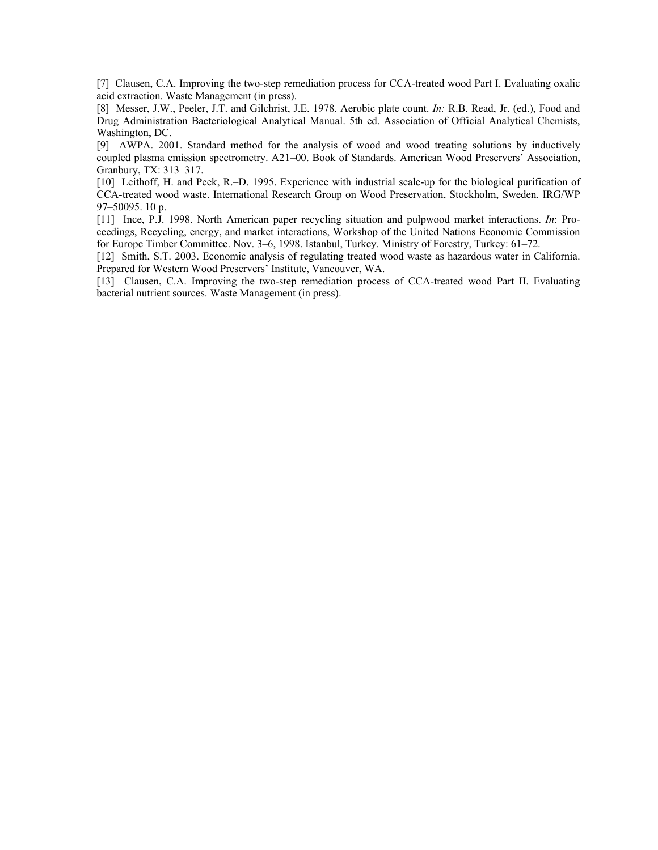[7] Clausen, C.A. Improving the two-step remediation process for CCA-treated wood Part I. Evaluating oxalic acid extraction. Waste Management (in press).

[8] Messer, J.W., Peeler, J.T. and Gilchrist, J.E. 1978. Aerobic plate count. *In:* R.B. Read, Jr. (ed.), Food and Drug Administration Bacteriological Analytical Manual. 5th ed. Association of Official Analytical Chemists, Washington, DC.

[9] AWPA. 2001. Standard method for the analysis of wood and wood treating solutions by inductively coupled plasma emission spectrometry. A21-00. Book of Standards. American Wood Preservers' Association, Granbury, TX: 313-317.

[10] Leithoff, H. and Peek, R.<sup>n.</sup>D. 1995. Experience with industrial scale-up for the biological purification of CCA-treated wood waste. International Research Group on Wood Preservation, Stockholm, Sweden. IRG/WP 97-50095. 10 p.

[11] Ince, P.J. 1998. North American paper recycling situation and pulpwood market interactions. *In*: Proceedings, Recycling, energy, and market interactions, Workshop of the United Nations Economic Commission for Europe Timber Committee. Nov. 3-6, 1998. Istanbul, Turkey. Ministry of Forestry, Turkey: 61-72.

[12] Smith, S.T. 2003. Economic analysis of regulating treated wood waste as hazardous water in California. Prepared for Western Wood Preservers' Institute, Vancouver, WA.

[13] Clausen, C.A. Improving the two-step remediation process of CCA-treated wood Part II. Evaluating bacterial nutrient sources. Waste Management (in press).